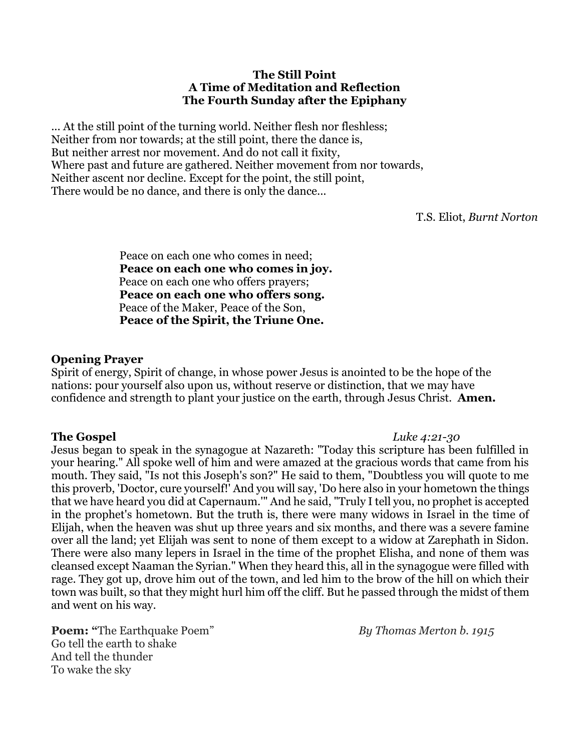#### **The Still Point A Time of Meditation and Reflection The Fourth Sunday after the Epiphany**

... At the still point of the turning world. Neither flesh nor fleshless; Neither from nor towards; at the still point, there the dance is, But neither arrest nor movement. And do not call it fixity, Where past and future are gathered. Neither movement from nor towards, Neither ascent nor decline. Except for the point, the still point, There would be no dance, and there is only the dance...

T.S. Eliot, *Burnt Norton*

Peace on each one who comes in need; **Peace on each one who comes in joy.**  Peace on each one who offers prayers; **Peace on each one who offers song.** Peace of the Maker, Peace of the Son, **Peace of the Spirit, the Triune One.** 

#### **Opening Prayer**

Spirit of energy, Spirit of change, in whose power Jesus is anointed to be the hope of the nations: pour yourself also upon us, without reserve or distinction, that we may have confidence and strength to plant your justice on the earth, through Jesus Christ. **Amen.**

**The Gospel** *Luke 4:21-30*  Jesus began to speak in the synagogue at Nazareth: "Today this scripture has been fulfilled in your hearing." All spoke well of him and were amazed at the gracious words that came from his mouth. They said, "Is not this Joseph's son?" He said to them, "Doubtless you will quote to me this proverb, 'Doctor, cure yourself!' And you will say, 'Do here also in your hometown the things that we have heard you did at Capernaum.'" And he said, "Truly I tell you, no prophet is accepted in the prophet's hometown. But the truth is, there were many widows in Israel in the time of Elijah, when the heaven was shut up three years and six months, and there was a severe famine over all the land; yet Elijah was sent to none of them except to a widow at Zarephath in Sidon. There were also many lepers in Israel in the time of the prophet Elisha, and none of them was cleansed except Naaman the Syrian." When they heard this, all in the synagogue were filled with rage. They got up, drove him out of the town, and led him to the brow of the hill on which their town was built, so that they might hurl him off the cliff. But he passed through the midst of them and went on his way.

**Poem:** "The Earthquake Poem" *By Thomas Merton b.* 1915 Go tell the earth to shake And tell the thunder To wake the sky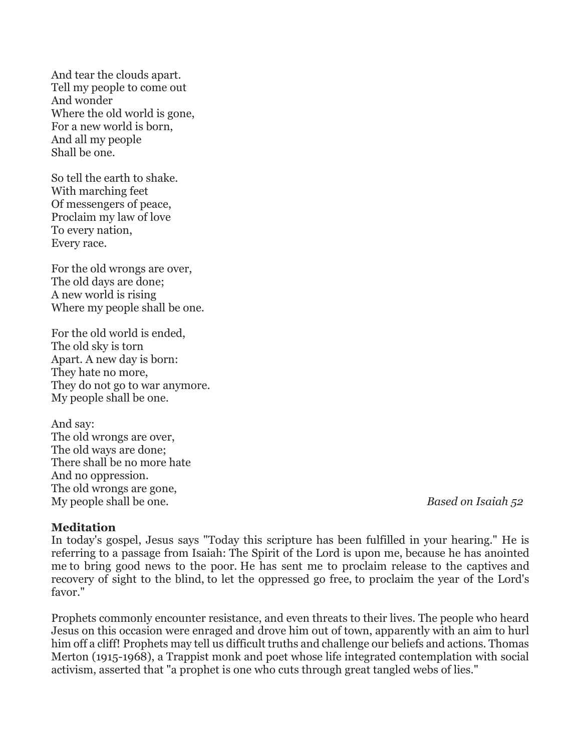And tear the clouds apart. Tell my people to come out And wonder Where the old world is gone, For a new world is born, And all my people Shall be one.

So tell the earth to shake. With marching feet Of messengers of peace, Proclaim my law of love To every nation, Every race.

For the old wrongs are over, The old days are done; A new world is rising Where my people shall be one.

For the old world is ended, The old sky is torn Apart. A new day is born: They hate no more, They do not go to war anymore. My people shall be one.

And say: The old wrongs are over, The old ways are done; There shall be no more hate And no oppression. The old wrongs are gone, My people shall be one. *Based on Isaiah 52*

### **Meditation**

In today's gospel, Jesus says "Today this scripture has been fulfilled in your hearing." He is referring to a passage from Isaiah: The Spirit of the Lord is upon me, because he has anointed me to bring good news to the poor. He has sent me to proclaim release to the captives and recovery of sight to the blind, to let the oppressed go free, to proclaim the year of the Lord's favor."

Prophets commonly encounter resistance, and even threats to their lives. The people who heard Jesus on this occasion were enraged and drove him out of town, apparently with an aim to hurl him off a cliff! Prophets may tell us difficult truths and challenge our beliefs and actions. Thomas Merton (1915-1968), a Trappist monk and poet whose life integrated contemplation with social activism, asserted that "a prophet is one who cuts through great tangled webs of lies."